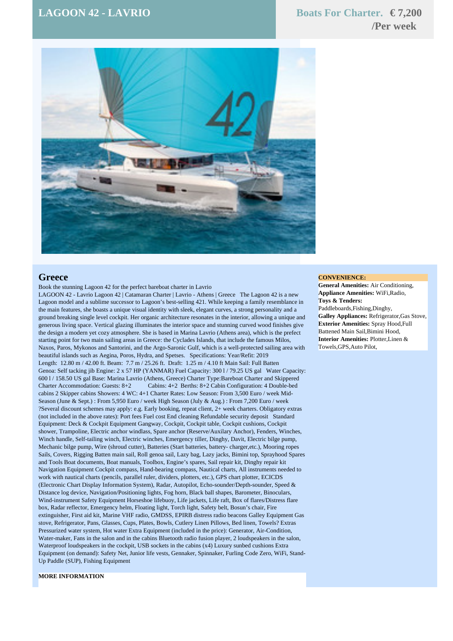## $\text{LAGOON 42 - LAVRIO}$  **Boats For Charter.**  $\in 7,200$

# **/Per week**



## **Greece**

Book the stunning Lagoon 42 for the perfect bareboat charter in Lavrio

LAGOON 42 - Lavrio Lagoon 42 | Catamaran Charter | Lavrio - Athens | Greece The Lagoon 42 is a new Lagoon model and a sublime successor to Lagoon's best-selling 421. While keeping a family resemblance in the main features, she boasts a unique visual identity with sleek, elegant curves, a strong personality and a ground breaking single level cockpit. Her organic architecture resonates in the interior, allowing a unique and generous living space. Vertical glazing illuminates the interior space and stunning curved wood finishes give the design a modern yet cozy atmosphere. She is based in Marina Lavrio (Athens area), which is the prefect starting point for two main sailing areas in Greece: the Cyclades Islands, that include the famous Milos, Naxos, Paros, Mykonos and Santorini, and the Argo-Saronic Gulf, which is a well-protected sailing area with beautiful islands such as Aegina, Poros, Hydra, and Spetses. Specifications: Year/Refit: 2019 Length: 12.80 m / 42.00 ft. Beam: 7.7 m / 25.26 ft. Draft: 1.25 m / 4.10 ft Main Sail: Full Batten Genoa: Self tacking jib Engine: 2 x 57 HP (YANMAR) Fuel Capacity: 300 1/79.25 US gal Water Capacity: 600 l / 158.50 US gal Base: Marina Lavrio (Athens, Greece) Charter Type:Bareboat Charter and Skippered Charter Accommodation: Guests: 8+2 Cabins: 4+2 Berths: 8+2 Cabin Configuration: 4 Double-bed cabins 2 Skipper cabins Showers: 4 WC: 4+1 Charter Rates: Low Season: From 3,500 Euro / week Mid-Season (June & Sept.) : From 5,950 Euro / week High Season (July & Aug.) : From 7,200 Euro / week ?Several discount schemes may apply: e.g. Early booking, repeat client, 2+ week charters. Obligatory extras (not included in the above rates): Port fees Fuel cost End cleaning Refundable security deposit Standard Equipment: Deck & Cockpit Equipment Gangway, Cockpit, Cockpit table, Cockpit cushions, Cockpit shower, Trampoline, Electric anchor windlass, Spare anchor (Reserve/Auxilary Anchor), Fenders, Winches, Winch handle, Self-tailing winch, Electric winches, Emergency tiller, Dinghy, Davit, Electric bilge pump, Mechanic bilge pump, Wire (shroud cutter), Batteries (Start batteries, battery- charger,etc.), Mooring ropes Sails, Covers, Rigging Batten main sail, Roll genoa sail, Lazy bag, Lazy jacks, Bimini top, Sprayhood Spares and Tools Boat documents, Boat manuals, Toolbox, Engine's spares, Sail repair kit, Dinghy repair kit Navigation Equipment Cockpit compass, Hand-bearing compass, Nautical charts, All instruments needed to work with nautical charts (pencils, parallel ruler, dividers, plotters, etc.), GPS chart plotter, ECICDS (Electronic Chart Display Information System), Radar, Autopilot, Echo-sounder/Depth-sounder, Speed & Distance log device, Navigation/Positioning lights, Fog horn, Black ball shapes, Barometer, Binoculars, Wind-instrument Safety Equipment Horseshoe lifebuoy, Life jackets, Life raft, Box of flares/Distress flare box, Radar reflector, Emergency helm, Floating light, Torch light, Safety belt, Bosun's chair, Fire extinguisher, First aid kit, Marine VHF radio, GMDSS, EPIRB distress radio beacons Galley Equipment Gas stove, Refrigerator, Pans, Glasses, Cups, Plates, Bowls, Cutlery Linen Pillows, Bed linen, Towels? Extras Pressurized water system, Hot water Extra Equipment (included in the price): Generator, Air-Condition, Water-maker, Fans in the salon and in the cabins Bluetooth radio fusion player, 2 loudspeakers in the salon, Waterproof loudspeakers in the cockpit, USB sockets in the cabins (x4) Luxury sunbed cushions Extra Equipment (on demand): Safety Net, Junior life vests, Gennaker, Spinnaker, Furling Code Zero, WiFi, Stand-Up Paddle (SUP), Fishing Equipment

#### **CONVENIENCE:**

**General Amenities:** Air Conditioning, **Appliance Amenities:** WiFi,Radio, **Toys & Tenders:** Paddleboards,Fishing,Dinghy, **Galley Appliances:** Refrigerator,Gas Stove, **Exterior Amenities:** Spray Hood,Full Battened Main Sail,Bimini Hood, **Interior Amenities:** Plotter,Linen & Towels,GPS,Auto Pilot,

### **MORE INFORMATION**